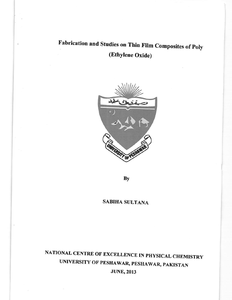# Fabrication and Studies on Thin Film Composites of Poly (Ethylene Oxide)



By

#### **SABIHA SULTANA**

## NATIONAL CENTRE OF EXCELLENCE IN PHYSICAL CHEMISTRY UNIVERSITY OF PESHAWAR, PESHAWAR, PAKISTAN **JUNE, 2013**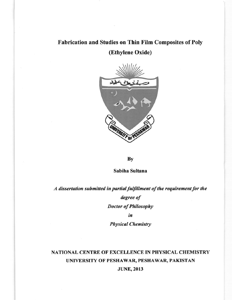#### Fabrication and Studies on Thin Film Composites of Poly

(Ethylene Oxide)



**By** 

Sabiha Sultana

A dissertation submitted in partial fulfillment of the requirement for the degree of **Doctor of Philosophy** in

**Physical Chemistry** 

#### NATIONAL CENTRE OF EXCELLENCE IN PHYSICAL CHEMISTRY UNIVERSITY OF PESHAWAR, PESHAWAR, PAKISTAN **JUNE, 2013**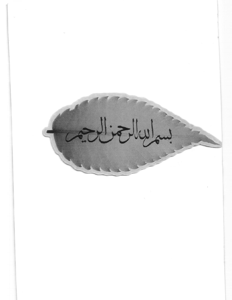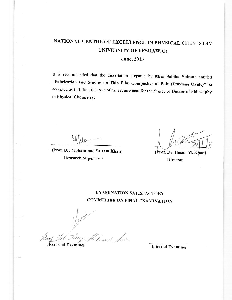## NATIONAL CENTRE OF EXCELLENCE IN PHYSICAL CHEMISTRY **UNIVERSITY OF PESHAWAR**

**June**, 2013

It is recommended that the dissertation prepared by Miss Sabiha Sultana entitled "Fabrication and Studies on Thin Film Composites of Poly (Ethylene Oxide)" be accepted as fulfilling this part of the requirement for the degree of Doctor of Philosophy in Physical Chemistry.

ile.

(Prof. Dr. Mohammad Saleem Khan) **Research Supervisor** 

(Prof. Dr. Hasan M. Khan **Director** 

#### **EXAMINATION SATISFACTORY COMMITTEE ON FINAL EXAMINATION**

mood Sum

**External Examiner** 

**Internal Examiner**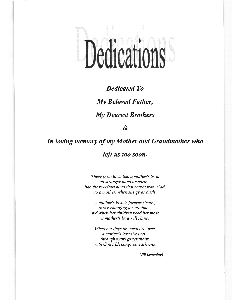# Dedications

#### **Dedicated To**

My Beloved Father,

**My Dearest Brothers** 

&

# In loving memory of my Mother and Grandmother who left us too soon.

There is no love, like a mother's love, no stronger bond on earth... like the precious bond that comes from God, to a mother, when she gives birth.

A mother's love is forever strong, never changing for all time... and when her children need her most, a mother's love will shine.

When her days on earth are over, a mother's love lives on... through many generations, with God's blessings on each one.

(Jill Lemming)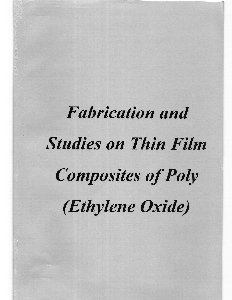# **Fabrication and** Studies on Thin Film Composites of Poly (Ethylene Oxide)